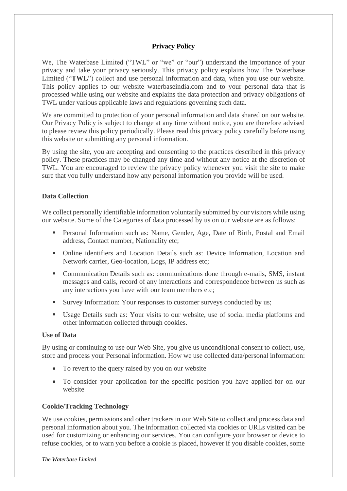### **Privacy Policy**

We, The Waterbase Limited ("TWL" or "we" or "our") understand the importance of your privacy and take your privacy seriously. This privacy policy explains how The Waterbase Limited ("**TWL**") collect and use personal information and data, when you use our website. This policy applies to our website waterbaseindia.com and to your personal data that is processed while using our website and explains the data protection and privacy obligations of TWL under various applicable laws and regulations governing such data.

We are committed to protection of your personal information and data shared on our website. Our Privacy Policy is subject to change at any time without notice, you are therefore advised to please review this policy periodically. Please read this privacy policy carefully before using this website or submitting any personal information.

By using the site, you are accepting and consenting to the practices described in this privacy policy. These practices may be changed any time and without any notice at the discretion of TWL. You are encouraged to review the privacy policy whenever you visit the site to make sure that you fully understand how any personal information you provide will be used.

### **Data Collection**

We collect personally identifiable information voluntarily submitted by our visitors while using our website. Some of the Categories of data processed by us on our website are as follows:

- Personal Information such as: Name, Gender, Age, Date of Birth, Postal and Email address, Contact number, Nationality etc;
- Online identifiers and Location Details such as: Device Information, Location and Network carrier, Geo-location, Logs, IP address etc;
- Communication Details such as: communications done through e-mails, SMS, instant messages and calls, record of any interactions and correspondence between us such as any interactions you have with our team members etc;
- Survey Information: Your responses to customer surveys conducted by us;
- Usage Details such as: Your visits to our website, use of social media platforms and other information collected through cookies.

#### **Use of Data**

By using or continuing to use our Web Site, you give us unconditional consent to collect, use, store and process your Personal information. How we use collected data/personal information:

- To revert to the query raised by you on our website
- To consider your application for the specific position you have applied for on our website

# **Cookie/Tracking Technology**

We use cookies, permissions and other trackers in our Web Site to collect and process data and personal information about you. The information collected via cookies or URLs visited can be used for customizing or enhancing our services. You can configure your browser or device to refuse cookies, or to warn you before a cookie is placed, however if you disable cookies, some